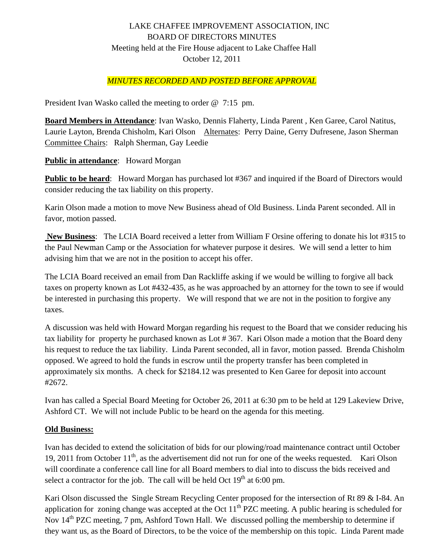# LAKE CHAFFEE IMPROVEMENT ASSOCIATION, INC BOARD OF DIRECTORS MINUTES Meeting held at the Fire House adjacent to Lake Chaffee Hall October 12, 2011

# *MINUTES RECORDED AND POSTED BEFORE APPROVAL*

President Ivan Wasko called the meeting to order @ 7:15 pm.

**Board Members in Attendance**: Ivan Wasko, Dennis Flaherty, Linda Parent , Ken Garee, Carol Natitus, Laurie Layton, Brenda Chisholm, Kari Olson Alternates: Perry Daine, Gerry Dufresene, Jason Sherman Committee Chairs: Ralph Sherman, Gay Leedie

**Public in attendance**: Howard Morgan

**Public to be heard:** Howard Morgan has purchased lot #367 and inquired if the Board of Directors would consider reducing the tax liability on this property.

Karin Olson made a motion to move New Business ahead of Old Business. Linda Parent seconded. All in favor, motion passed.

 **New Business**: The LCIA Board received a letter from William F Orsine offering to donate his lot #315 to the Paul Newman Camp or the Association for whatever purpose it desires. We will send a letter to him advising him that we are not in the position to accept his offer.

The LCIA Board received an email from Dan Rackliffe asking if we would be willing to forgive all back taxes on property known as Lot #432-435, as he was approached by an attorney for the town to see if would be interested in purchasing this property. We will respond that we are not in the position to forgive any taxes.

A discussion was held with Howard Morgan regarding his request to the Board that we consider reducing his tax liability for property he purchased known as Lot # 367. Kari Olson made a motion that the Board deny his request to reduce the tax liability. Linda Parent seconded, all in favor, motion passed. Brenda Chisholm opposed. We agreed to hold the funds in escrow until the property transfer has been completed in approximately six months. A check for \$2184.12 was presented to Ken Garee for deposit into account #2672.

Ivan has called a Special Board Meeting for October 26, 2011 at 6:30 pm to be held at 129 Lakeview Drive, Ashford CT. We will not include Public to be heard on the agenda for this meeting.

#### **Old Business:**

Ivan has decided to extend the solicitation of bids for our plowing/road maintenance contract until October 19, 2011 from October 11<sup>th</sup>, as the advertisement did not run for one of the weeks requested. Kari Olson will coordinate a conference call line for all Board members to dial into to discuss the bids received and select a contractor for the job. The call will be held Oct  $19<sup>th</sup>$  at 6:00 pm.

Kari Olson discussed the Single Stream Recycling Center proposed for the intersection of Rt 89 & I-84. An application for zoning change was accepted at the Oct  $11<sup>th</sup>$  PZC meeting. A public hearing is scheduled for Nov  $14<sup>th</sup>$  PZC meeting, 7 pm, Ashford Town Hall. We discussed polling the membership to determine if they want us, as the Board of Directors, to be the voice of the membership on this topic. Linda Parent made